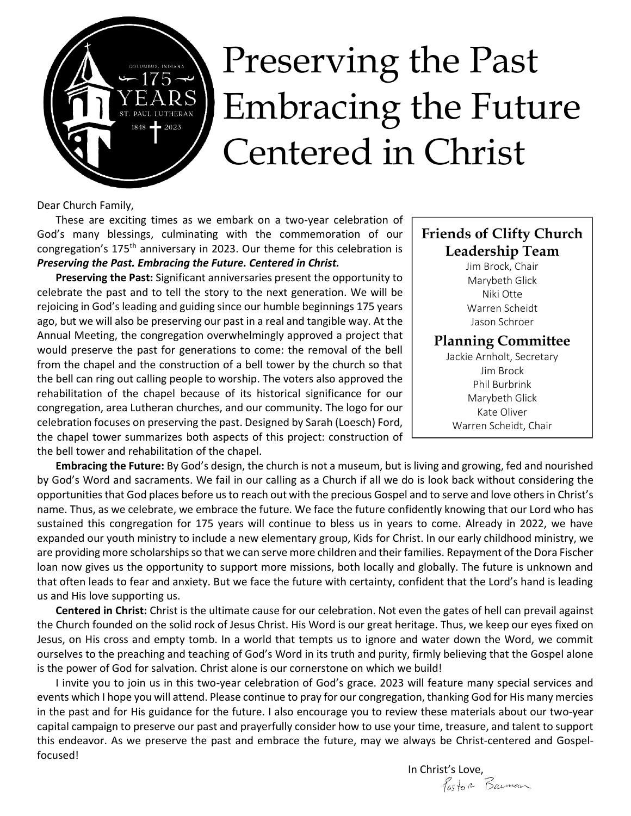# Preserving the Past 175- $\left\{\text{EARS}\atop{\text{Bayl}}_{\text{BMS}}\right\}$  Embracing the Future Centered in Christ

Dear Church Family,

These are exciting times as we embark on a two-year celebration of God's many blessings, culminating with the commemoration of our congregation's 175<sup>th</sup> anniversary in 2023. Our theme for this celebration is *Preserving the Past. Embracing the Future. Centered in Christ.* 

**Preserving the Past:** Significant anniversaries present the opportunity to celebrate the past and to tell the story to the next generation. We will be rejoicing in God's leading and guiding since our humble beginnings 175 years ago, but we will also be preserving our past in a real and tangible way. At the Annual Meeting, the congregation overwhelmingly approved a project that would preserve the past for generations to come: the removal of the bell from the chapel and the construction of a bell tower by the church so that the bell can ring out calling people to worship. The voters also approved the rehabilitation of the chapel because of its historical significance for our congregation, area Lutheran churches, and our community. The logo for our celebration focuses on preserving the past. Designed by Sarah (Loesch) Ford, the chapel tower summarizes both aspects of this project: construction of the bell tower and rehabilitation of the chapel.

#### **Friends of Clifty Church Leadership Team**

Jim Brock, Chair Marybeth Glick Niki Otte Warren Scheidt Jason Schroer

#### **Planning Committee**

Jackie Arnholt, Secretary Jim Brock Phil Burbrink Marybeth Glick Kate Oliver Warren Scheidt, Chair

**Embracing the Future:** By God's design, the church is not a museum, but is living and growing, fed and nourished by God's Word and sacraments. We fail in our calling as a Church if all we do is look back without considering the opportunities that God places before us to reach out with the precious Gospel and to serve and love others in Christ's name. Thus, as we celebrate, we embrace the future. We face the future confidently knowing that our Lord who has sustained this congregation for 175 years will continue to bless us in years to come. Already in 2022, we have expanded our youth ministry to include a new elementary group, Kids for Christ. In our early childhood ministry, we are providing more scholarships so that we can serve more children and their families. Repayment of the Dora Fischer loan now gives us the opportunity to support more missions, both locally and globally. The future is unknown and that often leads to fear and anxiety. But we face the future with certainty, confident that the Lord's hand is leading us and His love supporting us.

**Centered in Christ:** Christ is the ultimate cause for our celebration. Not even the gates of hell can prevail against the Church founded on the solid rock of Jesus Christ. His Word is our great heritage. Thus, we keep our eyes fixed on Jesus, on His cross and empty tomb. In a world that tempts us to ignore and water down the Word, we commit ourselves to the preaching and teaching of God's Word in its truth and purity, firmly believing that the Gospel alone is the power of God for salvation. Christ alone is our cornerstone on which we build!

I invite you to join us in this two-year celebration of God's grace. 2023 will feature many special services and events which I hope you will attend. Please continue to pray for our congregation, thanking God for His many mercies in the past and for His guidance for the future. I also encourage you to review these materials about our two-year capital campaign to preserve our past and prayerfully consider how to use your time, treasure, and talent to support this endeavor. As we preserve the past and embrace the future, may we always be Christ-centered and Gospelfocused!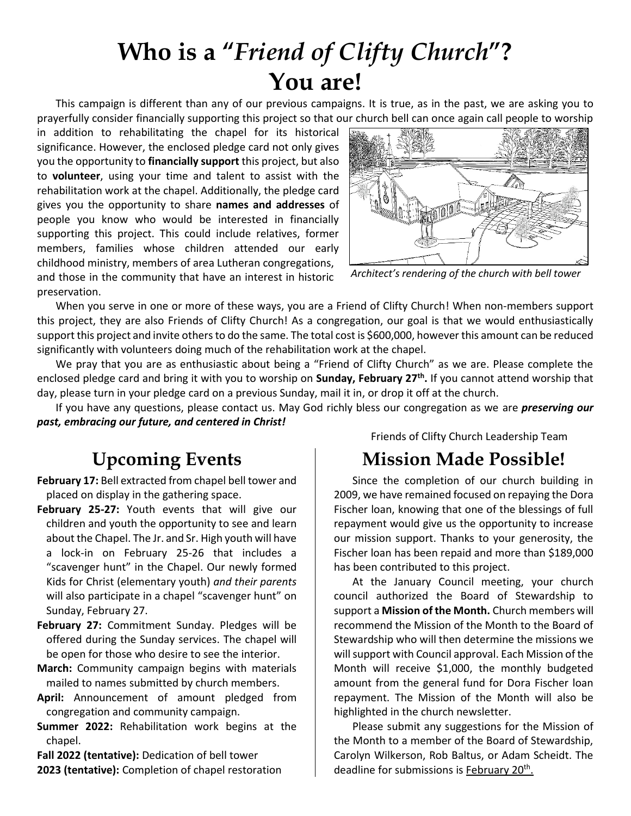## **Who is a "***Friend of Clifty Church***"? You are!**

This campaign is different than any of our previous campaigns. It is true, as in the past, we are asking you to prayerfully consider financially supporting this project so that our church bell can once again call people to worship

in addition to rehabilitating the chapel for its historical significance. However, the enclosed pledge card not only gives you the opportunity to **financially support** this project, but also to **volunteer**, using your time and talent to assist with the rehabilitation work at the chapel. Additionally, the pledge card gives you the opportunity to share **names and addresses** of people you know who would be interested in financially supporting this project. This could include relatives, former members, families whose children attended our early childhood ministry, members of area Lutheran congregations, and those in the community that have an interest in historic preservation.



*Architect's rendering of the church with bell tower*

When you serve in one or more of these ways, you are a Friend of Clifty Church! When non-members support this project, they are also Friends of Clifty Church! As a congregation, our goal is that we would enthusiastically support this project and invite others to do the same. The total cost is \$600,000, however this amount can be reduced significantly with volunteers doing much of the rehabilitation work at the chapel.

We pray that you are as enthusiastic about being a "Friend of Clifty Church" as we are. Please complete the enclosed pledge card and bring it with you to worship on **Sunday, February 27th .** If you cannot attend worship that day, please turn in your pledge card on a previous Sunday, mail it in, or drop it off at the church.

If you have any questions, please contact us. May God richly bless our congregation as we are *preserving our past, embracing our future, and centered in Christ!* 

### **Upcoming Events**

- **February 17:** Bell extracted from chapel bell tower and placed on display in the gathering space.
- **February 25-27:** Youth events that will give our children and youth the opportunity to see and learn about the Chapel. The Jr. and Sr. High youth will have a lock-in on February 25-26 that includes a "scavenger hunt" in the Chapel. Our newly formed Kids for Christ (elementary youth) *and their parents* will also participate in a chapel "scavenger hunt" on Sunday, February 27.
- **February 27:** Commitment Sunday. Pledges will be offered during the Sunday services. The chapel will be open for those who desire to see the interior.
- **March:** Community campaign begins with materials mailed to names submitted by church members.
- **April:** Announcement of amount pledged from congregation and community campaign.
- **Summer 2022:** Rehabilitation work begins at the chapel.

**Fall 2022 (tentative):** Dedication of bell tower **2023 (tentative):** Completion of chapel restoration Friends of Clifty Church Leadership Team

### **Mission Made Possible!**

Since the completion of our church building in 2009, we have remained focused on repaying the Dora Fischer loan, knowing that one of the blessings of full repayment would give us the opportunity to increase our mission support. Thanks to your generosity, the Fischer loan has been repaid and more than \$189,000 has been contributed to this project.

At the January Council meeting, your church council authorized the Board of Stewardship to support a **Mission of the Month.** Church members will recommend the Mission of the Month to the Board of Stewardship who will then determine the missions we will support with Council approval. Each Mission of the Month will receive \$1,000, the monthly budgeted amount from the general fund for Dora Fischer loan repayment. The Mission of the Month will also be highlighted in the church newsletter.

Please submit any suggestions for the Mission of the Month to a member of the Board of Stewardship, Carolyn Wilkerson, Rob Baltus, or Adam Scheidt. The deadline for submissions is February 20<sup>th</sup>.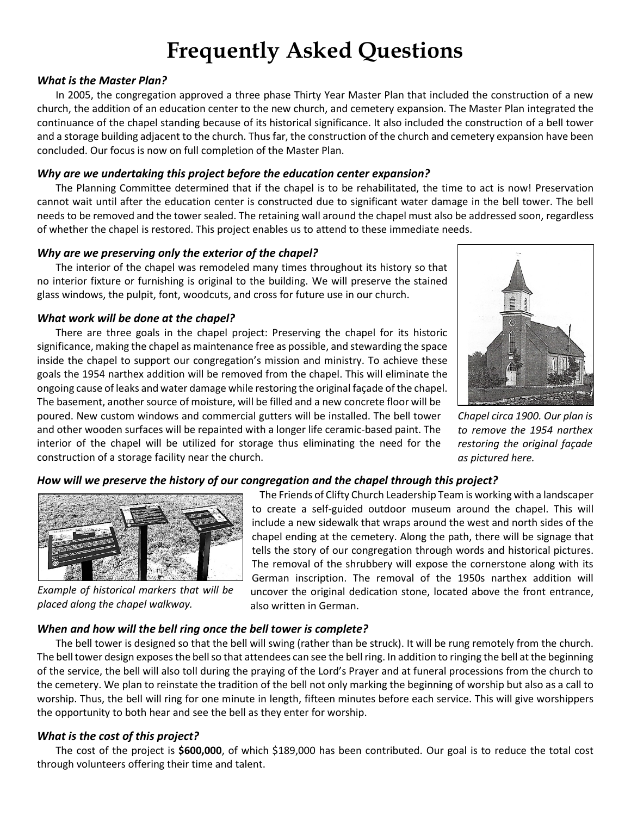## **Frequently Asked Questions**

#### *What is the Master Plan?*

In 2005, the congregation approved a three phase Thirty Year Master Plan that included the construction of a new church, the addition of an education center to the new church, and cemetery expansion. The Master Plan integrated the continuance of the chapel standing because of its historical significance. It also included the construction of a bell tower and a storage building adjacent to the church. Thus far, the construction of the church and cemetery expansion have been concluded. Our focus is now on full completion of the Master Plan.

#### *Why are we undertaking this project before the education center expansion?*

The Planning Committee determined that if the chapel is to be rehabilitated, the time to act is now! Preservation cannot wait until after the education center is constructed due to significant water damage in the bell tower. The bell needs to be removed and the tower sealed. The retaining wall around the chapel must also be addressed soon, regardless of whether the chapel is restored. This project enables us to attend to these immediate needs.

#### *Why are we preserving only the exterior of the chapel?*

The interior of the chapel was remodeled many times throughout its history so that no interior fixture or furnishing is original to the building. We will preserve the stained glass windows, the pulpit, font, woodcuts, and cross for future use in our church.

#### *What work will be done at the chapel?*

There are three goals in the chapel project: Preserving the chapel for its historic significance, making the chapel as maintenance free as possible, and stewarding the space inside the chapel to support our congregation's mission and ministry. To achieve these goals the 1954 narthex addition will be removed from the chapel. This will eliminate the ongoing cause of leaks and water damage while restoring the original façade of the chapel. The basement, another source of moisture, will be filled and a new concrete floor will be poured. New custom windows and commercial gutters will be installed. The bell tower and other wooden surfaces will be repainted with a longer life ceramic-based paint. The interior of the chapel will be utilized for storage thus eliminating the need for the construction of a storage facility near the church.



*Chapel circa 1900. Our plan is to remove the 1954 narthex restoring the original façade as pictured here.* 

#### *How will we preserve the history of our congregation and the chapel through this project?*



*Example of historical markers that will be placed along the chapel walkway.* 

The Friends of Clifty Church Leadership Team is working with a landscaper to create a self-guided outdoor museum around the chapel. This will include a new sidewalk that wraps around the west and north sides of the chapel ending at the cemetery. Along the path, there will be signage that tells the story of our congregation through words and historical pictures. The removal of the shrubbery will expose the cornerstone along with its German inscription. The removal of the 1950s narthex addition will uncover the original dedication stone, located above the front entrance, also written in German.

#### *When and how will the bell ring once the bell tower is complete?*

The bell tower is designed so that the bell will swing (rather than be struck). It will be rung remotely from the church. The bell tower design exposes the bell so that attendees can see the bell ring. In addition to ringing the bell at the beginning of the service, the bell will also toll during the praying of the Lord's Prayer and at funeral processions from the church to the cemetery. We plan to reinstate the tradition of the bell not only marking the beginning of worship but also as a call to worship. Thus, the bell will ring for one minute in length, fifteen minutes before each service. This will give worshippers the opportunity to both hear and see the bell as they enter for worship.

#### *What is the cost of this project?*

The cost of the project is **\$600,000**, of which \$189,000 has been contributed. Our goal is to reduce the total cost through volunteers offering their time and talent.